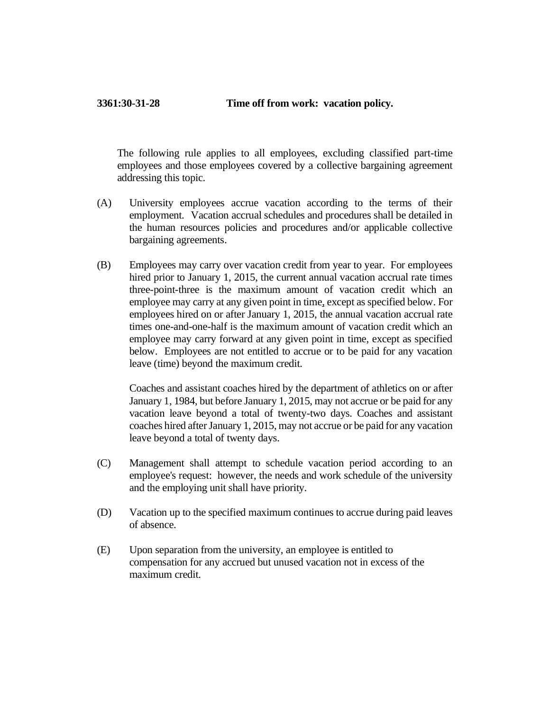## **3361:30-31-28 Time off from work: vacation policy.**

The following rule applies to all employees, excluding classified part-time employees and those employees covered by a collective bargaining agreement addressing this topic.

- (A) University employees accrue vacation according to the terms of their employment. Vacation accrual schedules and procedures shall be detailed in the human resources policies and procedures and/or applicable collective bargaining agreements.
- (B) Employees may carry over vacation credit from year to year. For employees hired prior to January 1, 2015, the current annual vacation accrual rate times three-point-three is the maximum amount of vacation credit which an employee may carry at any given point in time, except as specified below. For employees hired on or after January 1, 2015, the annual vacation accrual rate times one-and-one-half is the maximum amount of vacation credit which an employee may carry forward at any given point in time, except as specified below. Employees are not entitled to accrue or to be paid for any vacation leave (time) beyond the maximum credit.

Coaches and assistant coaches hired by the department of athletics on or after January 1, 1984, but before January 1, 2015, may not accrue or be paid for any vacation leave beyond a total of twenty-two days. Coaches and assistant coaches hired after January 1, 2015, may not accrue or be paid for any vacation leave beyond a total of twenty days.

- (C) Management shall attempt to schedule vacation period according to an employee's request: however, the needs and work schedule of the university and the employing unit shall have priority.
- (D) Vacation up to the specified maximum continues to accrue during paid leaves of absence.
- (E) Upon separation from the university, an employee is entitled to compensation for any accrued but unused vacation not in excess of the maximum credit.